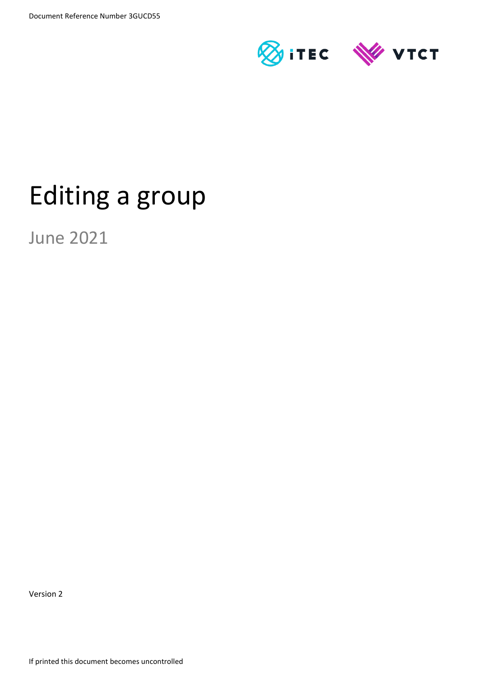

# Editing a group

June 2021

Version 2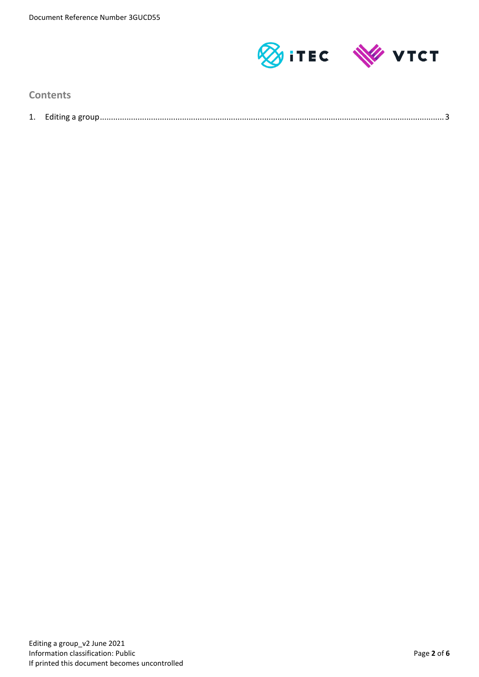

**Contents**

| Laiting a group<br>. . |
|------------------------|
|                        |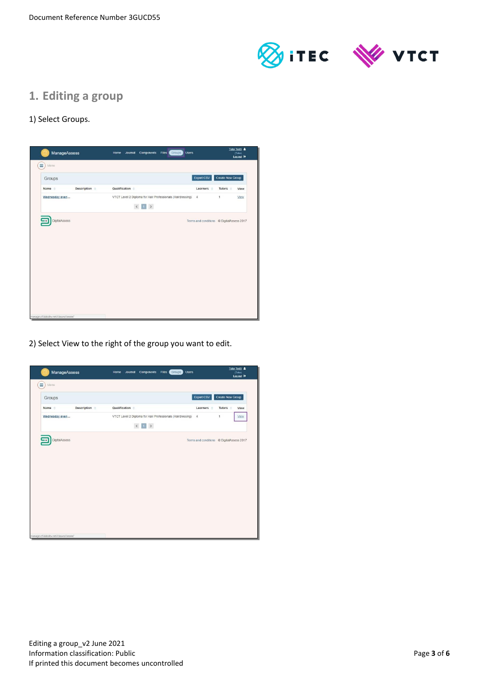

# **1. Editing a group**

### 1) Select Groups.



2) Select View to the right of the group you want to edit.

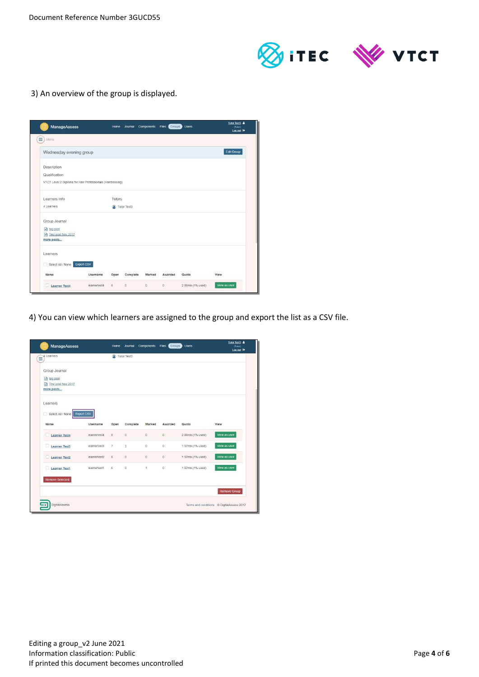

3) An overview of the group is displayed.

|                                                            |                   |               | Journal     |         | Components Files Groups | <b>Users</b>     | (Tutor)<br>Log out <sup>[*</sup> |
|------------------------------------------------------------|-------------------|---------------|-------------|---------|-------------------------|------------------|----------------------------------|
| Ξ<br>Menu                                                  |                   |               |             |         |                         |                  |                                  |
| Wednesday evening group                                    |                   |               |             |         |                         |                  | <b>Edit Group</b>                |
| Description                                                |                   |               |             |         |                         |                  |                                  |
| Qualification                                              |                   |               |             |         |                         |                  |                                  |
| VTCT Level 2 Diploma for Hair Professionals (Hairdressing) |                   |               |             |         |                         |                  |                                  |
| Learners Info                                              |                   | <b>Tutors</b> |             |         |                         |                  |                                  |
| 4 Learners                                                 |                   |               | Tutor Test3 |         |                         |                  |                                  |
| Group Journal                                              |                   |               |             |         |                         |                  |                                  |
| ag post                                                    |                   |               |             |         |                         |                  |                                  |
| Fil Test post Nov 2017                                     |                   |               |             |         |                         |                  |                                  |
| more posts                                                 |                   |               |             |         |                         |                  |                                  |
| Learners                                                   |                   |               |             |         |                         |                  |                                  |
| Select All / None<br>同                                     | <b>Export CSV</b> |               |             |         |                         |                  |                                  |
| Name                                                       | Username          | Open          | Complete    | Marked  | Awarded                 | Quota            | View                             |
| Learner Test4                                              | learnertest4      | 8             | $\alpha$    | $\circ$ | $\circ$                 | 2.88mb (1% used) | View as user                     |

4) You can view which learners are assigned to the group and export the list as a CSV file.

| ManageAssess                 |              | Home           | Journal      | Components   | Files<br>Groups | <b>Users</b>     | Tutor Test3 &<br>(Tutor)<br>Log out <sup>(*)</sup> |
|------------------------------|--------------|----------------|--------------|--------------|-----------------|------------------|----------------------------------------------------|
| 4 Learners<br>Ξ              |              |                | Tutor Test3  |              |                 |                  |                                                    |
| Group Journal                |              |                |              |              |                 |                  |                                                    |
| $\Box$ tag post              |              |                |              |              |                 |                  |                                                    |
| Test post Nov 2017           |              |                |              |              |                 |                  |                                                    |
| more posts                   |              |                |              |              |                 |                  |                                                    |
| Learners                     |              |                |              |              |                 |                  |                                                    |
| Select All / None Export CSV |              |                |              |              |                 |                  |                                                    |
| Name                         | Username     | Open           | Complete     | Marked       | Awarded         | Quota            | View                                               |
| Learner Test4                | learnertest4 | 8              | $\circ$      | $\circ$      | $\circ$         | 2.88mb (1% used) | View as user                                       |
| Learner Test3                | learnertest3 | $\overline{7}$ | $\mathbf{1}$ | $\circ$      | $\theta$        | 1.97mb (1% used) | View as user                                       |
| Learner Test2                | learnertest2 | 8              | $\circ$      | $\circ$      | $\circ$         | 1.97mb (1% used) | View as user                                       |
| Learner Test1                | learnertest1 | 6              | $\circ$      | $\mathbf{1}$ | $\circ$         | 1.97mb (1% used) | View as user                                       |
| <b>Remove Selected</b>       |              |                |              |              |                 |                  |                                                    |
|                              |              |                |              |              |                 |                  | Remove Group                                       |
| <b>DigitalAssess</b>         |              |                |              |              |                 |                  | Terms and conditions © DigitalAssess 2017          |
|                              |              |                |              |              |                 |                  |                                                    |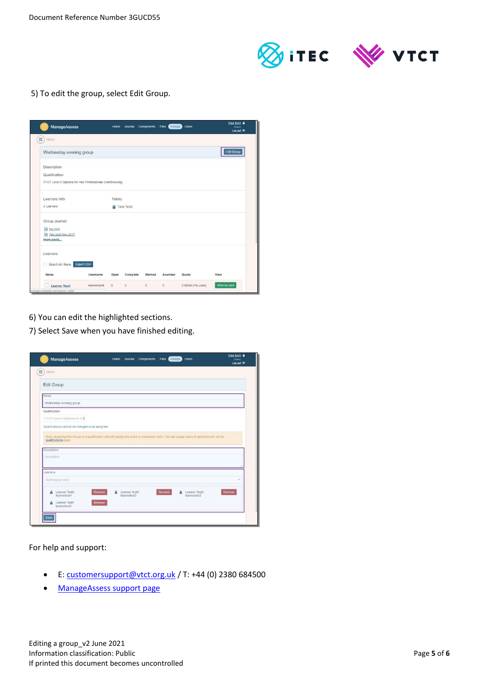

5) To edit the group, select Edit Group.

| <b>ManageAssess</b>                                        |                   | Home   | Journal     | Components Files (Groups) |         | <b>Users</b>     | Tutor Test3 &<br>(Tutor)<br>Log out <sup>[*</sup> |
|------------------------------------------------------------|-------------------|--------|-------------|---------------------------|---------|------------------|---------------------------------------------------|
| Ξ<br>Menu                                                  |                   |        |             |                           |         |                  |                                                   |
| Wednesday evening group                                    |                   |        |             |                           |         |                  | <b>Edit Group</b>                                 |
| Description                                                |                   |        |             |                           |         |                  |                                                   |
| Qualification                                              |                   |        |             |                           |         |                  |                                                   |
| VTCT Level 2 Diploma for Hair Professionals (Hairdressing) |                   |        |             |                           |         |                  |                                                   |
| Learners Info                                              |                   | Tutors |             |                           |         |                  |                                                   |
| 4 Learners                                                 |                   |        | Tutor Test3 |                           |         |                  |                                                   |
| Group Journal                                              |                   |        |             |                           |         |                  |                                                   |
| ag post                                                    |                   |        |             |                           |         |                  |                                                   |
| Fil Test post Nov 2017                                     |                   |        |             |                           |         |                  |                                                   |
| more posts                                                 |                   |        |             |                           |         |                  |                                                   |
| Learners                                                   |                   |        |             |                           |         |                  |                                                   |
| Select All / None                                          | <b>Export CSV</b> |        |             |                           |         |                  |                                                   |
| Name                                                       | Username          | Open   | Complete    | Marked                    | Awarded | Quota            | View                                              |
| Learner Test4                                              | learnertest4      | 8      | $\alpha$    | $\theta$                  | $\circ$ | 2.88mb (1% used) | View as user                                      |
| manage.ctf.dabdev.net/classes//edit/                       |                   |        |             |                           |         |                  |                                                   |

- 6) You can edit the highlighted sections.
- 7) Select Save when you have finished editing.

| Ξ<br>Menu                                                                                                                                                                                      |             |                               |        |                                    |        |
|------------------------------------------------------------------------------------------------------------------------------------------------------------------------------------------------|-------------|-------------------------------|--------|------------------------------------|--------|
| Edit Group                                                                                                                                                                                     |             |                               |        |                                    |        |
| Name                                                                                                                                                                                           |             |                               |        |                                    |        |
| Wednesday evening group                                                                                                                                                                        |             |                               |        |                                    |        |
| Qualification                                                                                                                                                                                  |             |                               |        |                                    |        |
| VTCT Level 2 Diploma for H ≑                                                                                                                                                                   |             |                               |        |                                    |        |
|                                                                                                                                                                                                |             |                               |        |                                    |        |
| Qualifications cannot be changed once assigned.<br>Note: assigning this Group to a qualification will only assign the users to mandatory units. You can assign users to optional units via the |             |                               |        |                                    |        |
| qualifications page<br>Description                                                                                                                                                             |             |                               |        |                                    |        |
| Description                                                                                                                                                                                    |             |                               |        |                                    |        |
| Learners                                                                                                                                                                                       |             |                               |        |                                    |        |
| Start typing name                                                                                                                                                                              |             |                               |        |                                    |        |
| Learner Test4<br>д<br>learnertest4                                                                                                                                                             | Remove<br>Δ | Learner Test3<br>learnertest3 | Remove | ρ<br>Learner Test2<br>learnertest2 | Remove |

For help and support:

- E: [customersupport@vtct.org.uk](mailto:customersupport@vtct.org.uk) / T: +44 (0) 2380 684500
- [ManageAssess support page](http://www.vtct.org.uk/existing-centres/resources/manageassess/)